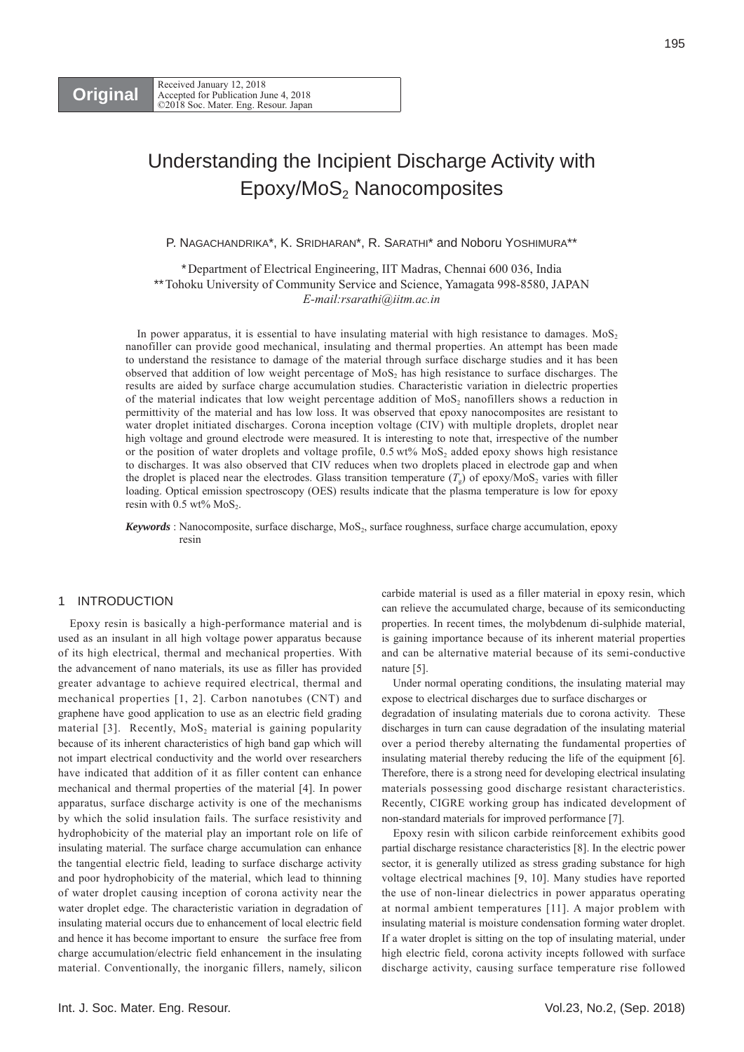# Understanding the Incipient Discharge Activity with  $Epoxy/MoS<sub>2</sub>$  Nanocomposites

P. NAGACHANDRIKA\*, K. SRIDHARAN\*, R. SARATHI\* and Noboru YOSHIMURA\*\*

\*Department of Electrical Engineering, IIT Madras, Chennai 600 036, India \*\*Tohoku University of Community Service and Science, Yamagata 998-8580, JAPAN *E-mail:rsarathi@iitm.ac.in* 

In power apparatus, it is essential to have insulating material with high resistance to damages.  $MoS<sub>2</sub>$ nanofiller can provide good mechanical, insulating and thermal properties. An attempt has been made to understand the resistance to damage of the material through surface discharge studies and it has been observed that addition of low weight percentage of MoS<sub>2</sub> has high resistance to surface discharges. The results are aided by surface charge accumulation studies. Characteristic variation in dielectric properties of the material indicates that low weight percentage addition of  $MoS<sub>2</sub>$  nanofillers shows a reduction in permittivity of the material and has low loss. It was observed that epoxy nanocomposites are resistant to water droplet initiated discharges. Corona inception voltage (CIV) with multiple droplets, droplet near high voltage and ground electrode were measured. It is interesting to note that, irrespective of the number or the position of water droplets and voltage profile,  $0.5 \text{ wt\%}$  MoS<sub>2</sub> added epoxy shows high resistance to discharges. It was also observed that CIV reduces when two droplets placed in electrode gap and when the droplet is placed near the electrodes. Glass transition temperature  $(T<sub>g</sub>)$  of epoxy/MoS<sub>2</sub> varies with filler loading. Optical emission spectroscopy (OES) results indicate that the plasma temperature is low for epoxy resin with  $0.5$  wt% MoS<sub>2</sub>.

*Keywords* : Nanocomposite, surface discharge, MoS<sub>2</sub>, surface roughness, surface charge accumulation, epoxy resin

# 1 INTRODUCTION

Epoxy resin is basically a high-performance material and is used as an insulant in all high voltage power apparatus because of its high electrical, thermal and mechanical properties. With the advancement of nano materials, its use as filler has provided greater advantage to achieve required electrical, thermal and mechanical properties [1, 2]. Carbon nanotubes (CNT) and graphene have good application to use as an electric field grading material [3]. Recently,  $MoS<sub>2</sub>$  material is gaining popularity because of its inherent characteristics of high band gap which will not impart electrical conductivity and the world over researchers have indicated that addition of it as filler content can enhance mechanical and thermal properties of the material [4]. In power apparatus, surface discharge activity is one of the mechanisms by which the solid insulation fails. The surface resistivity and hydrophobicity of the material play an important role on life of insulating material. The surface charge accumulation can enhance the tangential electric field, leading to surface discharge activity and poor hydrophobicity of the material, which lead to thinning of water droplet causing inception of corona activity near the water droplet edge. The characteristic variation in degradation of insulating material occurs due to enhancement of local electric field and hence it has become important to ensure the surface free from charge accumulation/electric field enhancement in the insulating material. Conventionally, the inorganic fillers, namely, silicon

carbide material is used as a filler material in epoxy resin, which can relieve the accumulated charge, because of its semiconducting properties. In recent times, the molybdenum di-sulphide material, is gaining importance because of its inherent material properties and can be alternative material because of its semi-conductive nature [5].

Under normal operating conditions, the insulating material may expose to electrical discharges due to surface discharges or

degradation of insulating materials due to corona activity. These discharges in turn can cause degradation of the insulating material over a period thereby alternating the fundamental properties of insulating material thereby reducing the life of the equipment [6]. Therefore, there is a strong need for developing electrical insulating materials possessing good discharge resistant characteristics. Recently, CIGRE working group has indicated development of non-standard materials for improved performance [7].

Epoxy resin with silicon carbide reinforcement exhibits good partial discharge resistance characteristics [8]. In the electric power sector, it is generally utilized as stress grading substance for high voltage electrical machines [9, 10]. Many studies have reported the use of non-linear dielectrics in power apparatus operating at normal ambient temperatures [11]. A major problem with insulating material is moisture condensation forming water droplet. If a water droplet is sitting on the top of insulating material, under high electric field, corona activity incepts followed with surface discharge activity, causing surface temperature rise followed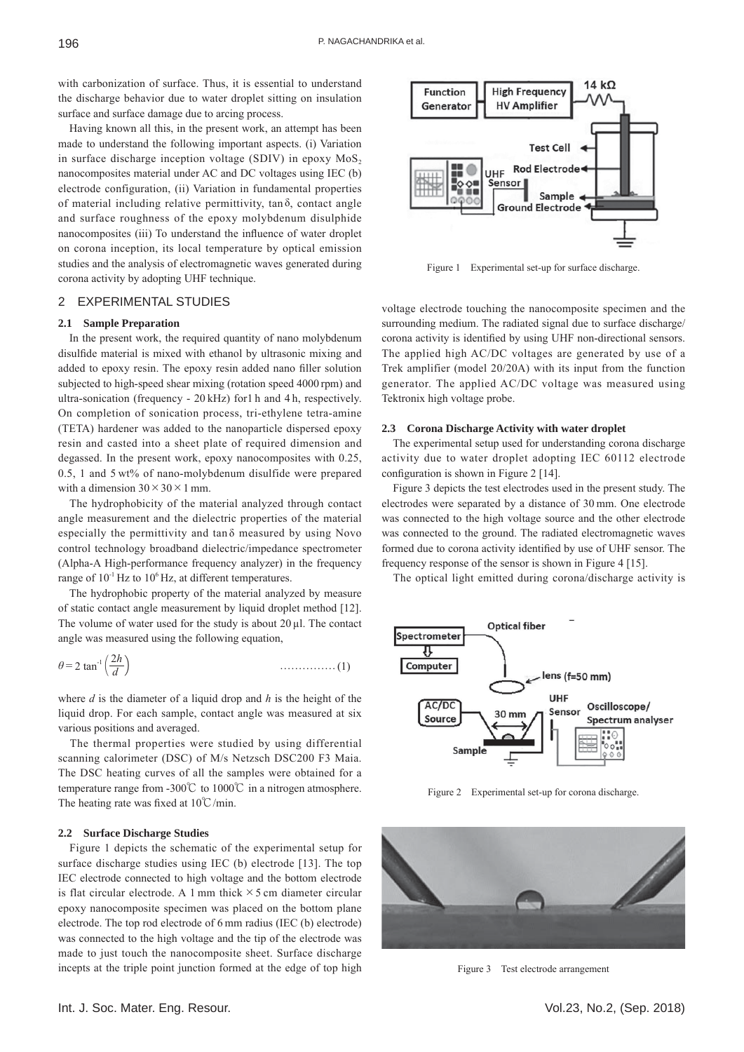with carbonization of surface. Thus, it is essential to understand the discharge behavior due to water droplet sitting on insulation surface and surface damage due to arcing process.

Having known all this, in the present work, an attempt has been made to understand the following important aspects. (i) Variation in surface discharge inception voltage (SDIV) in epoxy  $MoS<sub>2</sub>$ nanocomposites material under AC and DC voltages using IEC (b) electrode configuration, (ii) Variation in fundamental properties of material including relative permittivity,  $tan \delta$ , contact angle and surface roughness of the epoxy molybdenum disulphide nanocomposites (iii) To understand the influence of water droplet on corona inception, its local temperature by optical emission studies and the analysis of electromagnetic waves generated during corona activity by adopting UHF technique.

## 2 EXPERIMENTAL STUDIES

## **2.1 Sample Preparation**

In the present work, the required quantity of nano molybdenum disulfide material is mixed with ethanol by ultrasonic mixing and added to epoxy resin. The epoxy resin added nano filler solution subjected to high-speed shear mixing (rotation speed 4000 rpm) and ultra-sonication (frequency - 20 kHz) for1 h and 4 h, respectively. On completion of sonication process, tri-ethylene tetra-amine (TETA) hardener was added to the nanoparticle dispersed epoxy resin and casted into a sheet plate of required dimension and degassed. In the present work, epoxy nanocomposites with 0.25, 0.5, 1 and 5 wt% of nano-molybdenum disulfide were prepared with a dimension  $30 \times 30 \times 1$  mm.

The hydrophobicity of the material analyzed through contact angle measurement and the dielectric properties of the material especially the permittivity and  $tan \delta$  measured by using Novo control technology broadband dielectric/impedance spectrometer (Alpha-A High-performance frequency analyzer) in the frequency range of  $10^{-1}$  Hz to  $10^{6}$  Hz, at different temperatures.

The hydrophobic property of the material analyzed by measure of static contact angle measurement by liquid droplet method [12]. The volume of water used for the study is about 20 μl. The contact angle was measured using the following equation,

$$
\theta = 2 \tan^{-1} \left( \frac{2h}{d} \right) \tag{1}
$$

where  $d$  is the diameter of a liquid drop and  $h$  is the height of the liquid drop. For each sample, contact angle was measured at six various positions and averaged.

The thermal properties were studied by using differential scanning calorimeter (DSC) of M/s Netzsch DSC200 F3 Maia. The DSC heating curves of all the samples were obtained for a temperature range from -300°C to 1000°C in a nitrogen atmosphere. The heating rate was fixed at  $10^{\circ}$ C/min.

## **2.2 Surface Discharge Studies**

Figure 1 depicts the schematic of the experimental setup for surface discharge studies using IEC (b) electrode [13]. The top IEC electrode connected to high voltage and the bottom electrode is flat circular electrode. A 1 mm thick  $\times$  5 cm diameter circular epoxy nanocomposite specimen was placed on the bottom plane electrode. The top rod electrode of 6 mm radius (IEC (b) electrode) was connected to the high voltage and the tip of the electrode was made to just touch the nanocomposite sheet. Surface discharge incepts at the triple point junction formed at the edge of top high



Figure 1 Experimental set-up for surface discharge.

voltage electrode touching the nanocomposite specimen and the surrounding medium. The radiated signal due to surface discharge/ corona activity is identified by using UHF non-directional sensors. The applied high AC/DC voltages are generated by use of a Trek amplifier (model 20/20A) with its input from the function generator. The applied AC/DC voltage was measured using Tektronix high voltage probe.

#### **2.3 Corona Discharge Activity with water droplet**

The experimental setup used for understanding corona discharge activity due to water droplet adopting IEC 60112 electrode configuration is shown in Figure  $2$  [14].

Figure 3 depicts the test electrodes used in the present study. The electrodes were separated by a distance of 30 mm. One electrode was connected to the high voltage source and the other electrode was connected to the ground. The radiated electromagnetic waves formed due to corona activity identified by use of UHF sensor. The frequency response of the sensor is shown in Figure 4 [15].

The optical light emitted during corona/discharge activity is



Figure 2 Experimental set-up for corona discharge.



Figure 3 Test electrode arrangement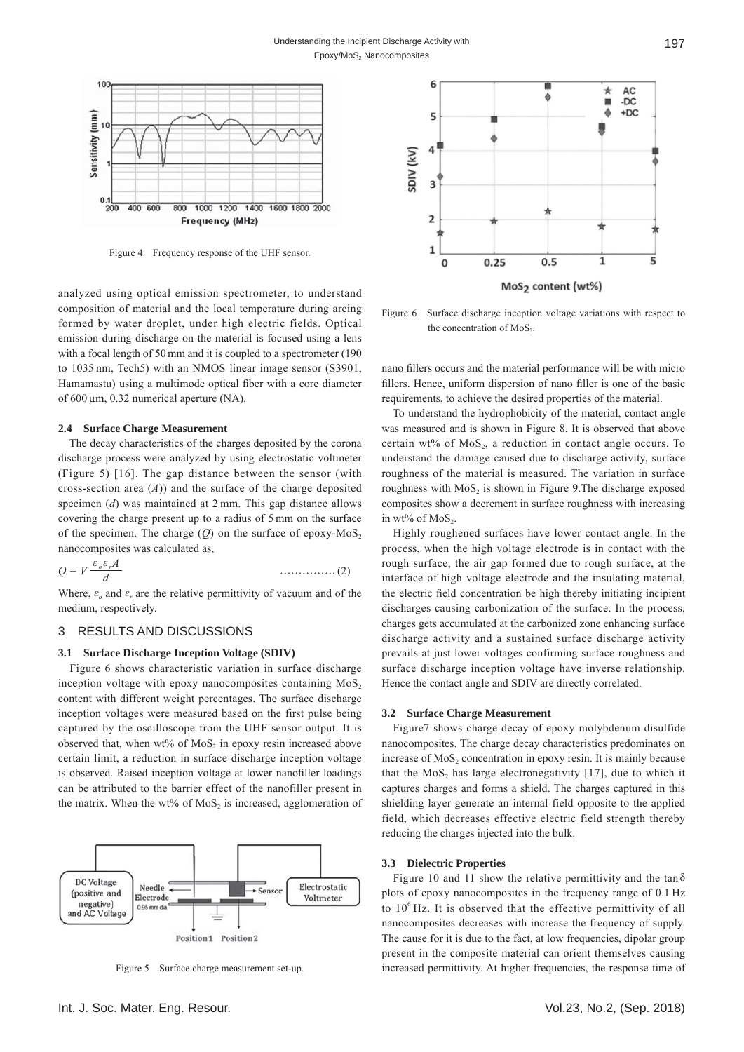

Figure 4 Frequency response of the UHF sensor.

analyzed using optical emission spectrometer, to understand composition of material and the local temperature during arcing formed by water droplet, under high electric fields. Optical emission during discharge on the material is focused using a lens with a focal length of 50 mm and it is coupled to a spectrometer (190 to 1035 nm, Tech5) with an NMOS linear image sensor (S3901, Hamamastu) using a multimode optical fiber with a core diameter of 600 μm, 0.32 numerical aperture (NA).

#### **2.4 Surface Charge Measurement**

The decay characteristics of the charges deposited by the corona discharge process were analyzed by using electrostatic voltmeter (Figure 5) [16]. The gap distance between the sensor (with cross-section area (*A*)) and the surface of the charge deposited specimen (*d*) was maintained at 2 mm. This gap distance allows covering the charge present up to a radius of 5 mm on the surface of the specimen. The charge  $(O)$  on the surface of epoxy-MoS<sub>2</sub> nanocomposites was calculated as,

$$
Q = V \frac{\varepsilon_o \varepsilon_r A}{d} \tag{2}
$$

Where,  $\varepsilon$ <sub>*c*</sub> and  $\varepsilon$ <sub>*r*</sub> are the relative permittivity of vacuum and of the medium, respectively.

## 3 RESULTS AND DISCUSSIONS

## **3.1 Surface Discharge Inception Voltage (SDIV)**

Figure 6 shows characteristic variation in surface discharge inception voltage with epoxy nanocomposites containing  $MoS<sub>2</sub>$ content with different weight percentages. The surface discharge inception voltages were measured based on the first pulse being captured by the oscilloscope from the UHF sensor output. It is observed that, when  $wt\%$  of MoS<sub>2</sub> in epoxy resin increased above certain limit, a reduction in surface discharge inception voltage is observed. Raised inception voltage at lower nanofiller loadings can be attributed to the barrier effect of the nanofiller present in the matrix. When the wt% of  $MoS<sub>2</sub>$  is increased, agglomeration of



Figure 5 Surface charge measurement set-up.



Figure 6 Surface discharge inception voltage variations with respect to the concentration of  $MoS$ .

nano fillers occurs and the material performance will be with micro fillers. Hence, uniform dispersion of nano filler is one of the basic requirements, to achieve the desired properties of the material.

To understand the hydrophobicity of the material, contact angle was measured and is shown in Figure 8. It is observed that above certain wt% of  $MoS<sub>2</sub>$ , a reduction in contact angle occurs. To understand the damage caused due to discharge activity, surface roughness of the material is measured. The variation in surface roughness with  $MoS<sub>2</sub>$  is shown in Figure 9. The discharge exposed composites show a decrement in surface roughness with increasing in wt% of  $MoS<sub>2</sub>$ .

Highly roughened surfaces have lower contact angle. In the process, when the high voltage electrode is in contact with the rough surface, the air gap formed due to rough surface, at the interface of high voltage electrode and the insulating material, the electric field concentration be high thereby initiating incipient discharges causing carbonization of the surface. In the process, charges gets accumulated at the carbonized zone enhancing surface discharge activity and a sustained surface discharge activity prevails at just lower voltages confirming surface roughness and surface discharge inception voltage have inverse relationship. Hence the contact angle and SDIV are directly correlated.

# **3.2 Surface Charge Measurement**

Figure7 shows charge decay of epoxy molybdenum disulfide nanocomposites. The charge decay characteristics predominates on increase of  $MoS<sub>2</sub>$  concentration in epoxy resin. It is mainly because that the MoS<sub>2</sub> has large electronegativity  $[17]$ , due to which it captures charges and forms a shield. The charges captured in this shielding layer generate an internal field opposite to the applied field, which decreases effective electric field strength thereby reducing the charges injected into the bulk.

#### **3.3 Dielectric Properties**

Figure 10 and 11 show the relative permittivity and the tan  $\delta$ plots of epoxy nanocomposites in the frequency range of 0.1 Hz to  $10<sup>6</sup>$  Hz. It is observed that the effective permittivity of all nanocomposites decreases with increase the frequency of supply. The cause for it is due to the fact, at low frequencies, dipolar group present in the composite material can orient themselves causing increased permittivity. At higher frequencies, the response time of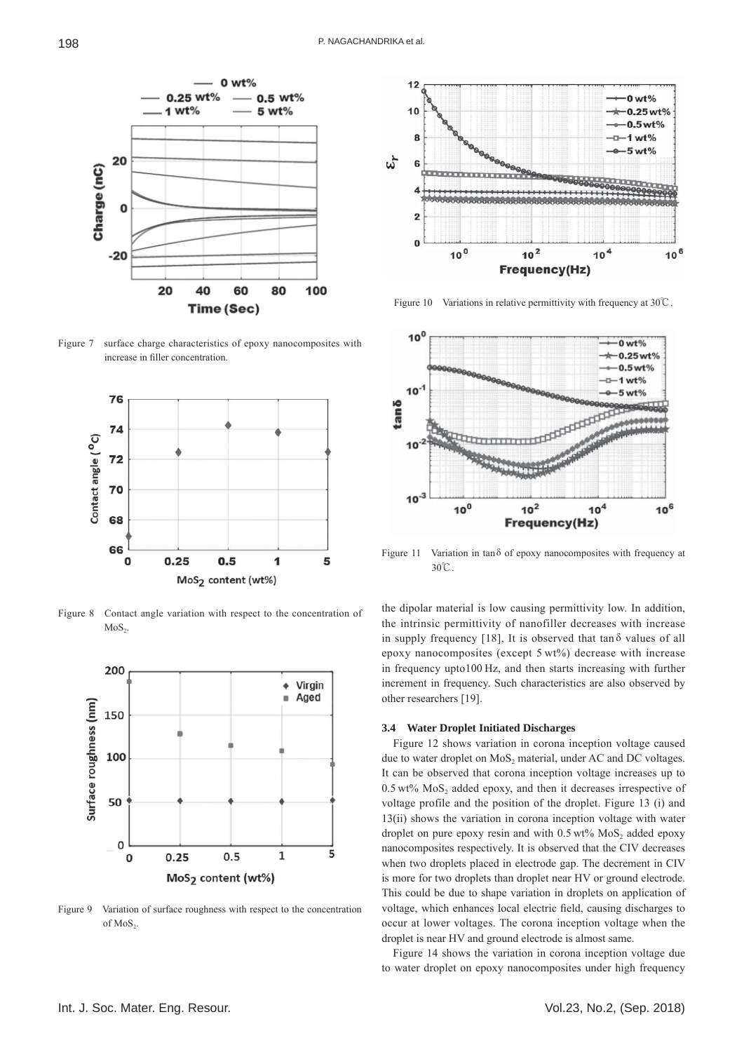

Figure 7 surface charge characteristics of epoxy nanocomposites with increase in filler concentration



Figure 8 Contact angle variation with respect to the concentration of  $MoS<sub>2</sub>$ .



Figure 9 Variation of surface roughness with respect to the concentration of MoS<sub>2</sub>.



Figure 10 Variations in relative permittivity with frequency at 30℃.



Figure 11 Variation in tan δ of epoxy nanocomposites with frequency at 30℃.

the dipolar material is low causing permittivity low. In addition, the intrinsic permittivity of nanofiller decreases with increase in supply frequency [18], It is observed that  $\tan \delta$  values of all epoxy nanocomposites (except 5 wt%) decrease with increase in frequency upto100 Hz, and then starts increasing with further increment in frequency. Such characteristics are also observed by other researchers [19].

#### **3.4 Water Droplet Initiated Discharges**

Figure 12 shows variation in corona inception voltage caused due to water droplet on MoS<sub>2</sub> material, under AC and DC voltages. It can be observed that corona inception voltage increases up to  $0.5 \text{ wt\%}$  MoS<sub>2</sub> added epoxy, and then it decreases irrespective of voltage profile and the position of the droplet. Figure 13 (i) and 13(ii) shows the variation in corona inception voltage with water droplet on pure epoxy resin and with  $0.5 \text{ wt}$ % MoS<sub>2</sub> added epoxy nanocomposites respectively. It is observed that the CIV decreases when two droplets placed in electrode gap. The decrement in CIV is more for two droplets than droplet near HV or ground electrode. This could be due to shape variation in droplets on application of voltage, which enhances local electric field, causing discharges to occur at lower voltages. The corona inception voltage when the droplet is near HV and ground electrode is almost same.

Figure 14 shows the variation in corona inception voltage due to water droplet on epoxy nanocomposites under high frequency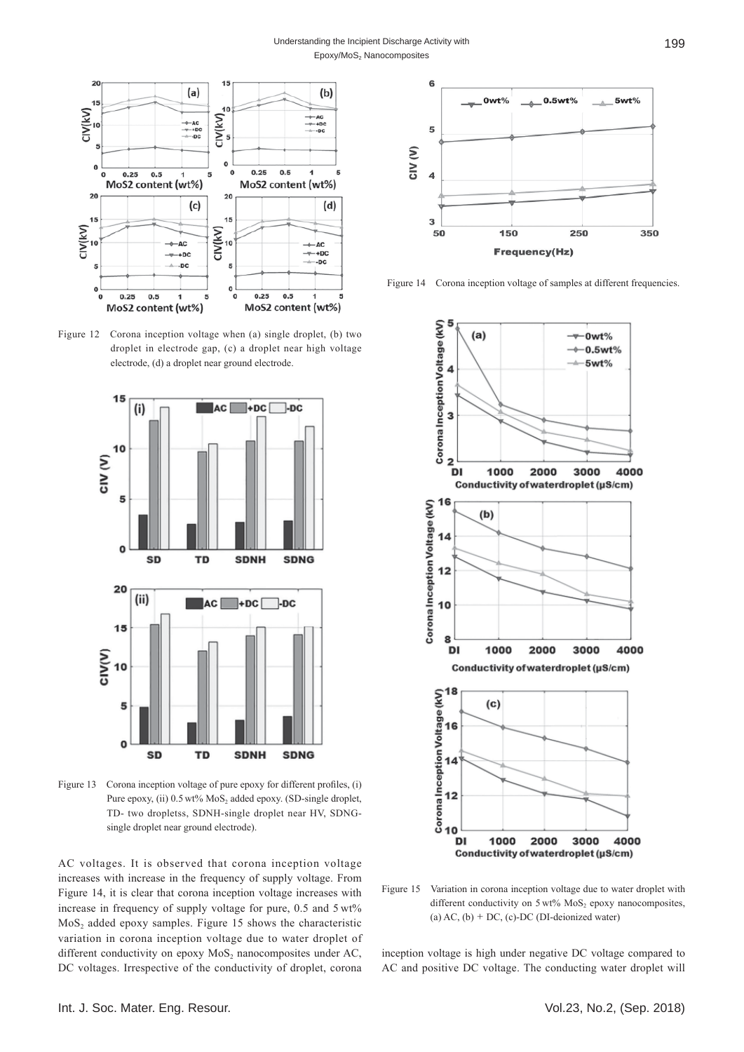

Figure 12 Corona inception voltage when (a) single droplet, (b) two droplet in electrode gap, (c) a droplet near high voltage electrode, (d) a droplet near ground electrode.



Figure 13 Corona inception voltage of pure epoxy for different profiles, (i) Pure epoxy, (ii)  $0.5$  wt% MoS<sub>2</sub> added epoxy. (SD-single droplet, TD- two dropletss, SDNH-single droplet near HV, SDNGsingle droplet near ground electrode).

AC voltages. It is observed that corona inception voltage increases with increase in the frequency of supply voltage. From Figure 14, it is clear that corona inception voltage increases with increase in frequency of supply voltage for pure, 0.5 and 5 wt%  $MoS<sub>2</sub>$  added epoxy samples. Figure 15 shows the characteristic variation in corona inception voltage due to water droplet of different conductivity on epoxy  $MoS<sub>2</sub>$  nanocomposites under AC, DC voltages. Irrespective of the conductivity of droplet, corona



Figure 14 Corona inception voltage of samples at different frequencies.



Figure 15 Variation in corona inception voltage due to water droplet with different conductivity on  $5 \text{ wt\%}$  MoS<sub>2</sub> epoxy nanocomposites, (a)  $AC$ , (b) + DC, (c)-DC (DI-deionized water)

inception voltage is high under negative DC voltage compared to AC and positive DC voltage. The conducting water droplet will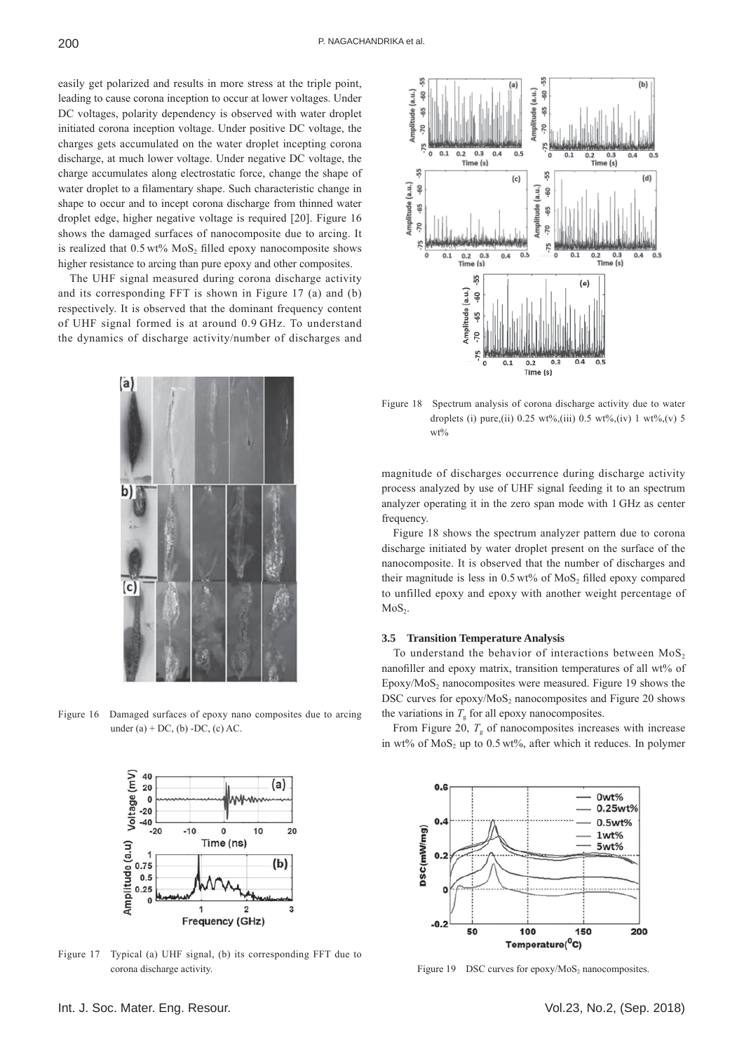easily get polarized and results in more stress at the triple point, leading to cause corona inception to occur at lower voltages. Under DC voltages, polarity dependency is observed with water droplet initiated corona inception voltage. Under positive DC voltage, the charges gets accumulated on the water droplet incepting corona discharge, at much lower voltage. Under negative DC voltage, the charge accumulates along electrostatic force, change the shape of water droplet to a filamentary shape. Such characteristic change in shape to occur and to incept corona discharge from thinned water droplet edge, higher negative voltage is required [20]. Figure 16 shows the damaged surfaces of nanocomposite due to arcing. It is realized that  $0.5 \text{ wt\% MoS}_2$  filled epoxy nanocomposite shows higher resistance to arcing than pure epoxy and other composites.

The UHF signal measured during corona discharge activity and its corresponding FFT is shown in Figure 17 (a) and (b) respectively. It is observed that the dominant frequency content of UHF signal formed is at around 0.9 GHz. To understand the dynamics of discharge activity/number of discharges and

la

b)

(c)





Figure 17 Typical (a) UHF signal, (b) its corresponding FFT due to corona discharge activity. Tigure 19 DSC curves for epoxy/MoS<sub>2</sub> nanocomposites.



Figure 18 Spectrum analysis of corona discharge activity due to water droplets (i) pure,(ii) 0.25 wt%,(iii) 0.5 wt%,(iv) 1 wt%,(v) 5 wt%

magnitude of discharges occurrence during discharge activity process analyzed by use of UHF signal feeding it to an spectrum analyzer operating it in the zero span mode with 1 GHz as center frequency.

Figure 18 shows the spectrum analyzer pattern due to corona discharge initiated by water droplet present on the surface of the nanocomposite. It is observed that the number of discharges and their magnitude is less in  $0.5 \text{ wt\%}$  of MoS<sub>2</sub> filled epoxy compared to unfilled epoxy and epoxy with another weight percentage of  $MoS<sub>2</sub>$ .

## **3.5 Transition Temperature Analysis**

To understand the behavior of interactions between  $MoS<sub>2</sub>$ nanofiller and epoxy matrix, transition temperatures of all wt% of Epoxy/MoS<sub>2</sub> nanocomposites were measured. Figure 19 shows the DSC curves for epoxy/ $MoS<sub>2</sub>$  nanocomposites and Figure 20 shows the variations in  $T<sub>g</sub>$  for all epoxy nanocomposites.

From Figure 20,  $T_{\rm g}$  of nanocomposites increases with increase in wt% of MoS<sub>2</sub> up to  $0.5$  wt%, after which it reduces. In polymer

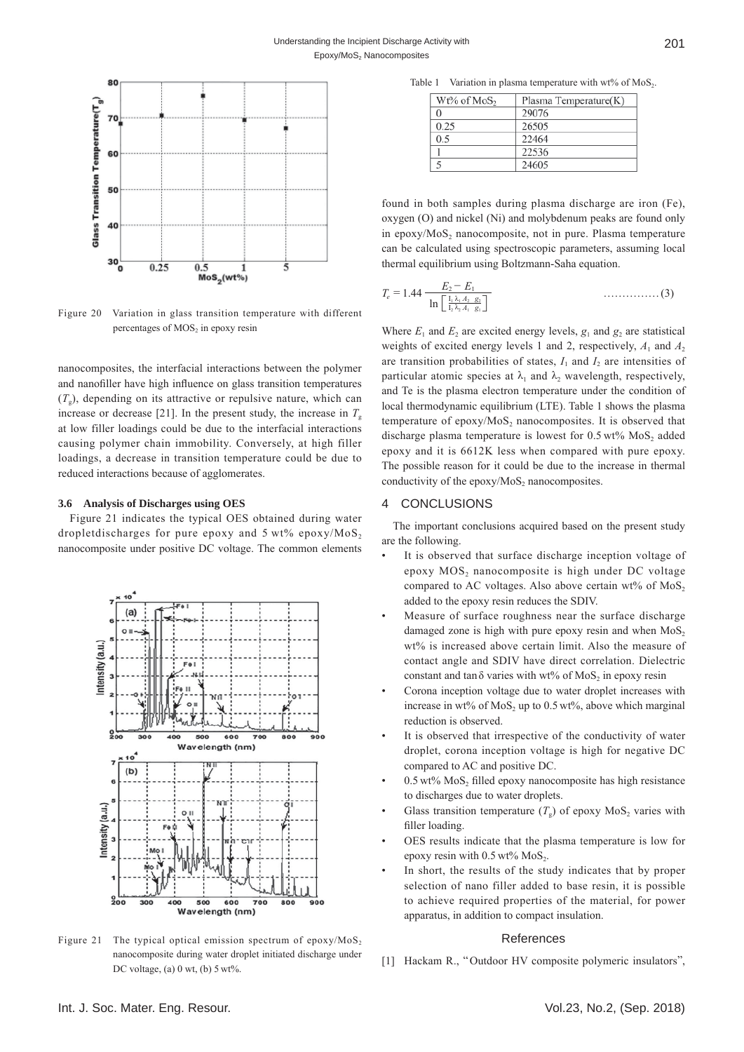

Figure 20 Variation in glass transition temperature with different percentages of MOS<sub>2</sub> in epoxy resin

nanocomposites, the interfacial interactions between the polymer and nanofiller have high influence on glass transition temperatures  $(T<sub>g</sub>)$ , depending on its attractive or repulsive nature, which can increase or decrease [21]. In the present study, the increase in  $T<sub>g</sub>$ at low filler loadings could be due to the interfacial interactions causing polymer chain immobility. Conversely, at high filler loadings, a decrease in transition temperature could be due to reduced interactions because of agglomerates.

#### **3.6 Analysis of Discharges using OES**

Figure 21 indicates the typical OES obtained during water dropletdischarges for pure epoxy and  $5 \text{ wt\%}$  epoxy/MoS<sub>2</sub> nanocomposite under positive DC voltage. The common elements



Figure 21 The typical optical emission spectrum of epoxy/ $MoS<sub>2</sub>$ nanocomposite during water droplet initiated discharge under DC voltage, (a) 0 wt, (b) 5 wt%.

Table 1 Variation in plasma temperature with wt% of  $MoS<sub>2</sub>$ .

| Wt% of MoS <sub>2</sub> | Plasma Temperature(K) |
|-------------------------|-----------------------|
| 0                       | 29076                 |
| 0.25                    | 26505                 |
| 0.5                     | 22464                 |
|                         | 22536                 |
|                         | 24605                 |

found in both samples during plasma discharge are iron (Fe), oxygen (O) and nickel (Ni) and molybdenum peaks are found only in epoxy/ $MoS<sub>2</sub>$  nanocomposite, not in pure. Plasma temperature can be calculated using spectroscopic parameters, assuming local thermal equilibrium using Boltzmann-Saha equation.

$$
T_e = 1.44 \frac{E_2 - E_1}{\ln \left[ \frac{I_1 \lambda_1 A_2 \cdot g_2}{I_2 \lambda_2 A_1 \cdot g_1} \right]}
$$
 (3)

Where  $E_1$  and  $E_2$  are excited energy levels,  $g_1$  and  $g_2$  are statistical weights of excited energy levels 1 and 2, respectively,  $A_1$  and  $A_2$ are transition probabilities of states,  $I_1$  and  $I_2$  are intensities of particular atomic species at  $\lambda_1$  and  $\lambda_2$  wavelength, respectively, and Te is the plasma electron temperature under the condition of local thermodynamic equilibrium (LTE). Table 1 shows the plasma temperature of epoxy/ $MoS<sub>2</sub>$  nanocomposites. It is observed that discharge plasma temperature is lowest for  $0.5 \text{ wt}$ % MoS<sub>2</sub> added epoxy and it is 6612K less when compared with pure epoxy. The possible reason for it could be due to the increase in thermal conductivity of the epoxy/ $MoS<sub>2</sub>$  nanocomposites.

## 4 CONCLUSIONS

The important conclusions acquired based on the present study are the following.

- It is observed that surface discharge inception voltage of epoxy MOS<sub>2</sub> nanocomposite is high under DC voltage compared to AC voltages. Also above certain  $wt\%$  of MoS<sub>2</sub> added to the epoxy resin reduces the SDIV.
- Measure of surface roughness near the surface discharge damaged zone is high with pure epoxy resin and when  $MoS<sub>2</sub>$ wt% is increased above certain limit. Also the measure of contact angle and SDIV have direct correlation. Dielectric constant and tan $\delta$  varies with wt% of MoS<sub>2</sub> in epoxy resin
- Corona inception voltage due to water droplet increases with increase in wt% of  $MoS<sub>2</sub>$  up to 0.5 wt%, above which marginal reduction is observed.
- It is observed that irrespective of the conductivity of water droplet, corona inception voltage is high for negative DC compared to AC and positive DC.
- $0.5 \text{ wt\% MoS},$  filled epoxy nanocomposite has high resistance to discharges due to water droplets.
- Glass transition temperature  $(T<sub>o</sub>)$  of epoxy MoS<sub>2</sub> varies with filler loading.
- OES results indicate that the plasma temperature is low for epoxy resin with  $0.5$  wt% MoS<sub>2</sub>.
- In short, the results of the study indicates that by proper selection of nano filler added to base resin, it is possible to achieve required properties of the material, for power apparatus, in addition to compact insulation.

## References

[1] Hackam R., "Outdoor HV composite polymeric insulators",